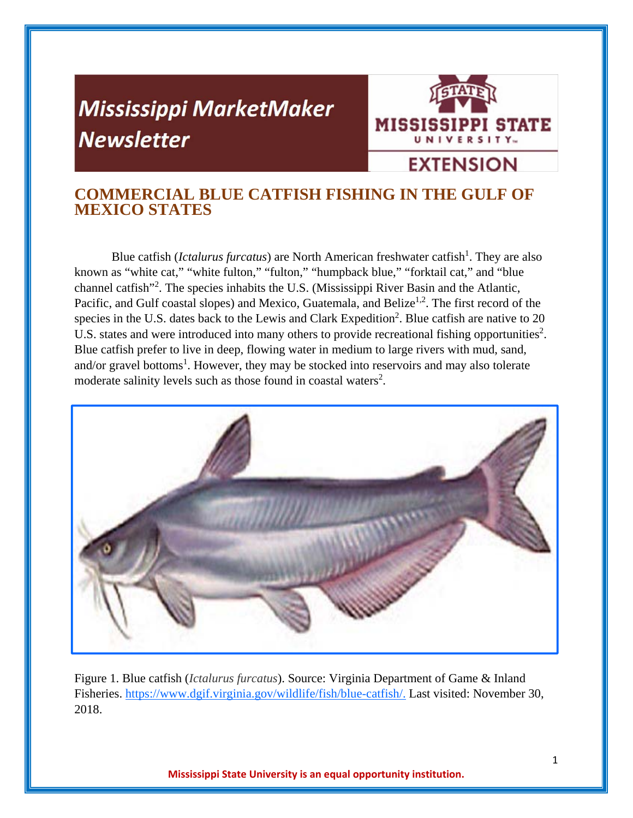# **Mississippi MarketMaker Newsletter**



# **COMMERCIAL BLUE CATFISH FISHING IN THE GULF OF MEXICO STATES**

Blue catfish (*Ictalurus furcatus*) are North American freshwater catfish<sup>1</sup>. They are also known as "white cat," "white fulton," "fulton," "humpback blue," "forktail cat," and "blue channel catfish"<sup>2</sup>. The species inhabits the U.S. (Mississippi River Basin and the Atlantic, Pacific, and Gulf coastal slopes) and Mexico, Guatemala, and Belize<sup>1,2</sup>. The first record of the species in the U.S. dates back to the Lewis and Clark Expedition<sup>2</sup>. Blue catfish are native to 20 U.S. states and were introduced into many others to provide recreational fishing opportunities<sup>2</sup>. Blue catfish prefer to live in deep, flowing water in medium to large rivers with mud, sand, and/or gravel bottoms<sup>1</sup>. However, they may be stocked into reservoirs and may also tolerate moderate salinity levels such as those found in coastal waters<sup>2</sup>.



Figure 1. Blue catfish (*Ictalurus furcatus*). Source: Virginia Department of Game & Inland Fisheries. https://www.dgif.virginia.gov/wildlife/fish/blue-catfish/. Last visited: November 30, 2018.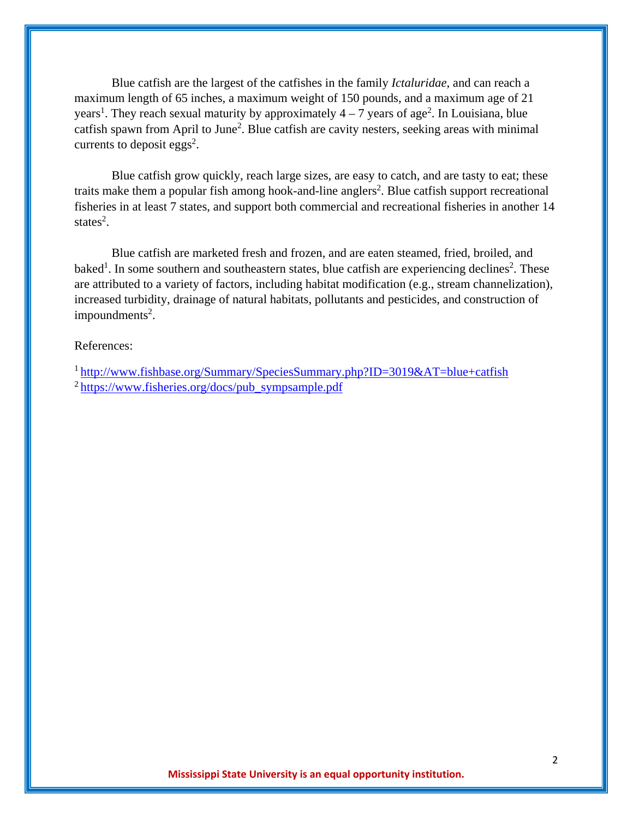Blue catfish are the largest of the catfishes in the family *Ictaluridae*, and can reach a maximum length of 65 inches, a maximum weight of 150 pounds, and a maximum age of 21 years<sup>1</sup>. They reach sexual maturity by approximately  $4 - 7$  years of age<sup>2</sup>. In Louisiana, blue catfish spawn from April to June<sup>2</sup>. Blue catfish are cavity nesters, seeking areas with minimal currents to deposit eggs<sup>2</sup>.

Blue catfish grow quickly, reach large sizes, are easy to catch, and are tasty to eat; these traits make them a popular fish among hook-and-line anglers<sup>2</sup>. Blue catfish support recreational fisheries in at least 7 states, and support both commercial and recreational fisheries in another 14 states<sup>2</sup>.

Blue catfish are marketed fresh and frozen, and are eaten steamed, fried, broiled, and baked<sup>1</sup>. In some southern and southeastern states, blue catfish are experiencing declines<sup>2</sup>. These are attributed to a variety of factors, including habitat modification (e.g., stream channelization), increased turbidity, drainage of natural habitats, pollutants and pesticides, and construction of  $impoundments<sup>2</sup>$ .

# References:

1 http://www.fishbase.org/Summary/SpeciesSummary.php?ID=3019&AT=blue+catfish  $2$  https://www.fisheries.org/docs/pub\_sympsample.pdf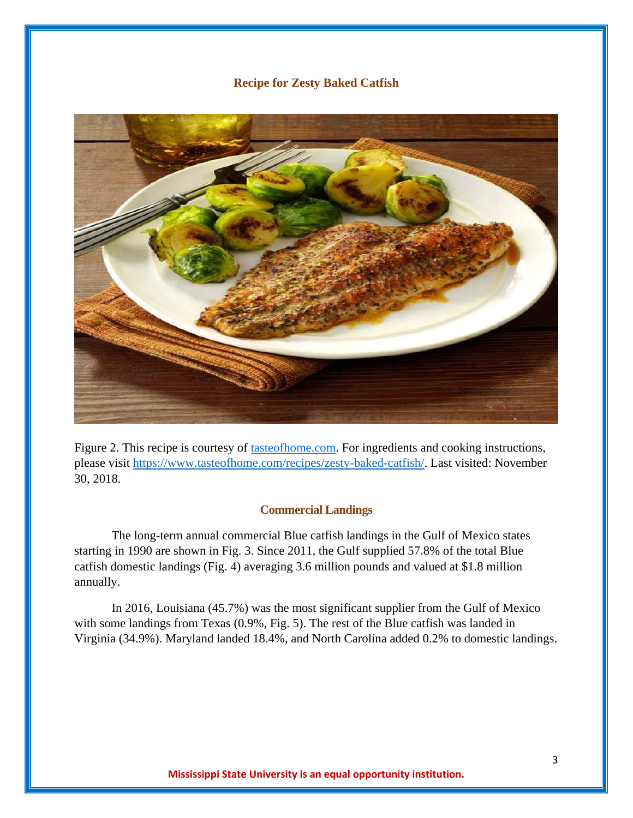# **Recipe for Zesty Baked Catfish**



Figure 2. This recipe is courtesy of tasteofhome.com. For ingredients and cooking instructions, please visit https://www.tasteofhome.com/recipes/zesty-baked-catfish/. Last visited: November 30, 2018.

#### **Commercial Landings**

The long-term annual commercial Blue catfish landings in the Gulf of Mexico states starting in 1990 are shown in Fig. 3. Since 2011, the Gulf supplied 57.8% of the total Blue catfish domestic landings (Fig. 4) averaging 3.6 million pounds and valued at \$1.8 million annually.

In 2016, Louisiana (45.7%) was the most significant supplier from the Gulf of Mexico with some landings from Texas (0.9%, Fig. 5). The rest of the Blue catfish was landed in Virginia (34.9%). Maryland landed 18.4%, and North Carolina added 0.2% to domestic landings.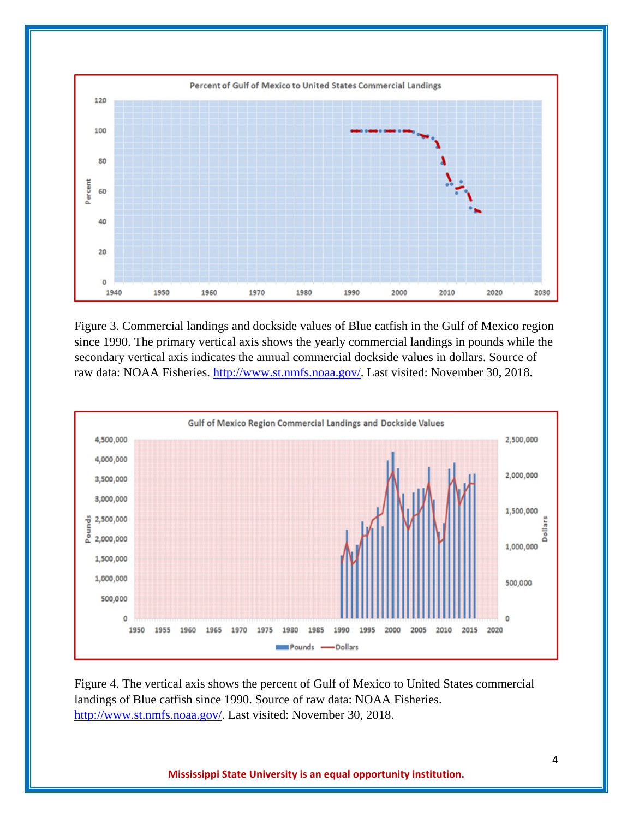

Figure 3. Commercial landings and dockside values of Blue catfish in the Gulf of Mexico region since 1990. The primary vertical axis shows the yearly commercial landings in pounds while the secondary vertical axis indicates the annual commercial dockside values in dollars. Source of raw data: NOAA Fisheries. http://www.st.nmfs.noaa.gov/. Last visited: November 30, 2018.



Figure 4. The vertical axis shows the percent of Gulf of Mexico to United States commercial landings of Blue catfish since 1990. Source of raw data: NOAA Fisheries. http://www.st.nmfs.noaa.gov/. Last visited: November 30, 2018.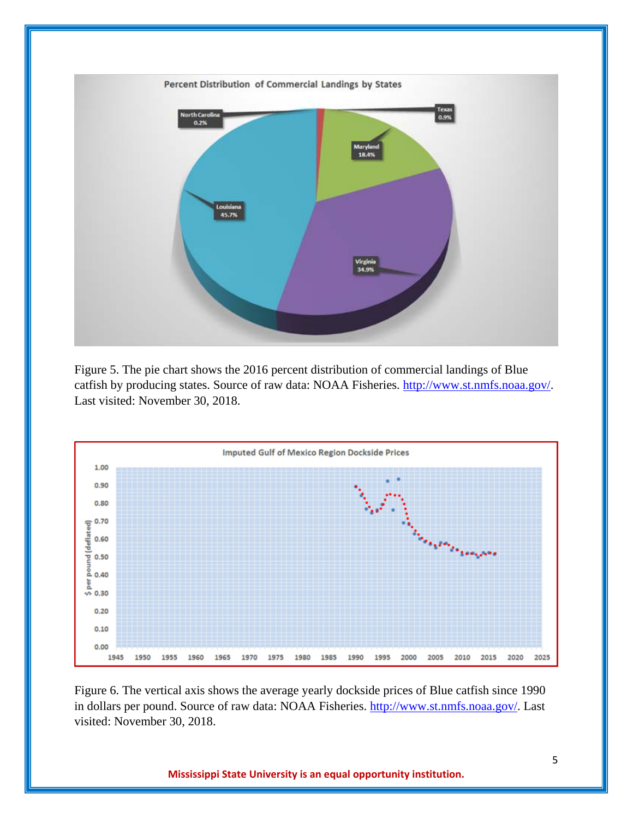

Figure 5. The pie chart shows the 2016 percent distribution of commercial landings of Blue catfish by producing states. Source of raw data: NOAA Fisheries. http://www.st.nmfs.noaa.gov/. Last visited: November 30, 2018.



Figure 6. The vertical axis shows the average yearly dockside prices of Blue catfish since 1990 in dollars per pound. Source of raw data: NOAA Fisheries. http://www.st.nmfs.noaa.gov/. Last visited: November 30, 2018.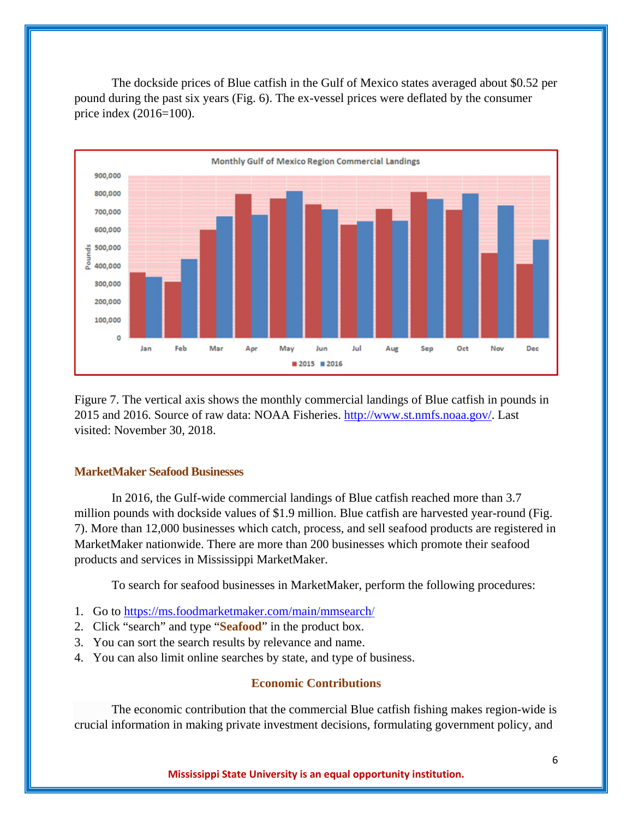The dockside prices of Blue catfish in the Gulf of Mexico states averaged about \$0.52 per pound during the past six years (Fig. 6). The ex-vessel prices were deflated by the consumer price index (2016=100).



Figure 7. The vertical axis shows the monthly commercial landings of Blue catfish in pounds in 2015 and 2016. Source of raw data: NOAA Fisheries. http://www.st.nmfs.noaa.gov/. Last visited: November 30, 2018.

# **MarketMaker Seafood Businesses**

In 2016, the Gulf-wide commercial landings of Blue catfish reached more than 3.7 million pounds with dockside values of \$1.9 million. Blue catfish are harvested year-round (Fig. 7). More than 12,000 businesses which catch, process, and sell seafood products are registered in MarketMaker nationwide. There are more than 200 businesses which promote their seafood products and services in Mississippi MarketMaker.

To search for seafood businesses in MarketMaker, perform the following procedures:

- 1. Go to https://ms.foodmarketmaker.com/main/mmsearch/
- 2. Click "search" and type "**Seafood**" in the product box.
- 3. You can sort the search results by relevance and name.
- 4. You can also limit online searches by state, and type of business.

# **Economic Contributions**

The economic contribution that the commercial Blue catfish fishing makes region-wide is crucial information in making private investment decisions, formulating government policy, and